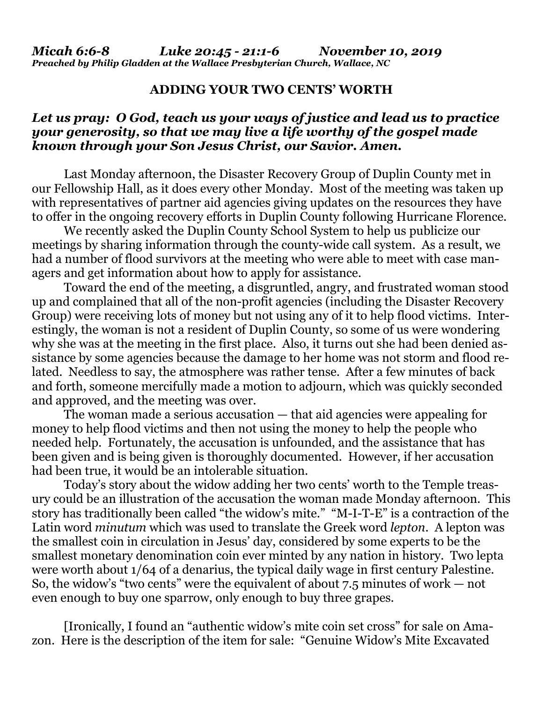## **ADDING YOUR TWO CENTS' WORTH**

## *Let us pray: O God, teach us your ways of justice and lead us to practice your generosity, so that we may live a life worthy of the gospel made known through your Son Jesus Christ, our Savior. Amen.*

Last Monday afternoon, the Disaster Recovery Group of Duplin County met in our Fellowship Hall, as it does every other Monday. Most of the meeting was taken up with representatives of partner aid agencies giving updates on the resources they have to offer in the ongoing recovery efforts in Duplin County following Hurricane Florence.

We recently asked the Duplin County School System to help us publicize our meetings by sharing information through the county-wide call system. As a result, we had a number of flood survivors at the meeting who were able to meet with case managers and get information about how to apply for assistance.

Toward the end of the meeting, a disgruntled, angry, and frustrated woman stood up and complained that all of the non-profit agencies (including the Disaster Recovery Group) were receiving lots of money but not using any of it to help flood victims. Interestingly, the woman is not a resident of Duplin County, so some of us were wondering why she was at the meeting in the first place. Also, it turns out she had been denied assistance by some agencies because the damage to her home was not storm and flood related. Needless to say, the atmosphere was rather tense. After a few minutes of back and forth, someone mercifully made a motion to adjourn, which was quickly seconded and approved, and the meeting was over.

The woman made a serious accusation — that aid agencies were appealing for money to help flood victims and then not using the money to help the people who needed help. Fortunately, the accusation is unfounded, and the assistance that has been given and is being given is thoroughly documented. However, if her accusation had been true, it would be an intolerable situation.

Today's story about the widow adding her two cents' worth to the Temple treasury could be an illustration of the accusation the woman made Monday afternoon. This story has traditionally been called "the widow's mite." "M-I-T-E" is a contraction of the Latin word *minutum* which was used to translate the Greek word *lepton*. A lepton was the smallest coin in circulation in Jesus' day, considered by some experts to be the smallest monetary denomination coin ever minted by any nation in history. Two lepta were worth about 1/64 of a denarius, the typical daily wage in first century Palestine. So, the widow's "two cents" were the equivalent of about 7.5 minutes of work — not even enough to buy one sparrow, only enough to buy three grapes.

[Ironically, I found an "authentic widow's mite coin set cross" for sale on Amazon. Here is the description of the item for sale: "Genuine Widow's Mite Excavated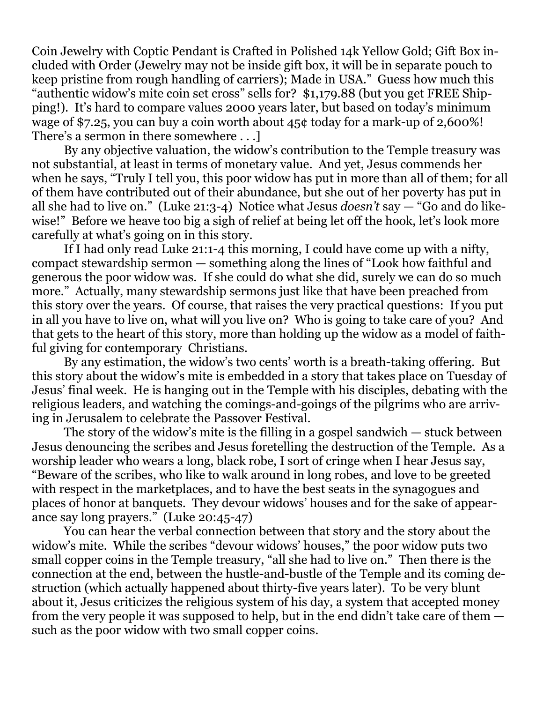Coin Jewelry with Coptic Pendant is Crafted in Polished 14k Yellow Gold; Gift Box included with Order (Jewelry may not be inside gift box, it will be in separate pouch to keep pristine from rough handling of carriers); Made in USA." Guess how much this "authentic widow's mite coin set cross" sells for? \$1,179.88 (but you get FREE Shipping!). It's hard to compare values 2000 years later, but based on today's minimum wage of \$7.25, you can buy a coin worth about 45¢ today for a mark-up of 2,600%! There's a sermon in there somewhere . . .]

By any objective valuation, the widow's contribution to the Temple treasury was not substantial, at least in terms of monetary value. And yet, Jesus commends her when he says, "Truly I tell you, this poor widow has put in more than all of them; for all of them have contributed out of their abundance, but she out of her poverty has put in all she had to live on." (Luke 21:3-4) Notice what Jesus *doesn't* say — "Go and do likewise!" Before we heave too big a sigh of relief at being let off the hook, let's look more carefully at what's going on in this story.

If I had only read Luke 21:1-4 this morning, I could have come up with a nifty, compact stewardship sermon — something along the lines of "Look how faithful and generous the poor widow was. If she could do what she did, surely we can do so much more." Actually, many stewardship sermons just like that have been preached from this story over the years. Of course, that raises the very practical questions: If you put in all you have to live on, what will you live on? Who is going to take care of you? And that gets to the heart of this story, more than holding up the widow as a model of faithful giving for contemporary Christians.

By any estimation, the widow's two cents' worth is a breath-taking offering. But this story about the widow's mite is embedded in a story that takes place on Tuesday of Jesus' final week. He is hanging out in the Temple with his disciples, debating with the religious leaders, and watching the comings-and-goings of the pilgrims who are arriving in Jerusalem to celebrate the Passover Festival.

The story of the widow's mite is the filling in a gospel sandwich — stuck between Jesus denouncing the scribes and Jesus foretelling the destruction of the Temple. As a worship leader who wears a long, black robe, I sort of cringe when I hear Jesus say, "Beware of the scribes, who like to walk around in long robes, and love to be greeted with respect in the marketplaces, and to have the best seats in the synagogues and places of honor at banquets. They devour widows' houses and for the sake of appearance say long prayers." (Luke 20:45-47)

You can hear the verbal connection between that story and the story about the widow's mite. While the scribes "devour widows' houses," the poor widow puts two small copper coins in the Temple treasury, "all she had to live on." Then there is the connection at the end, between the hustle-and-bustle of the Temple and its coming destruction (which actually happened about thirty-five years later). To be very blunt about it, Jesus criticizes the religious system of his day, a system that accepted money from the very people it was supposed to help, but in the end didn't take care of them such as the poor widow with two small copper coins.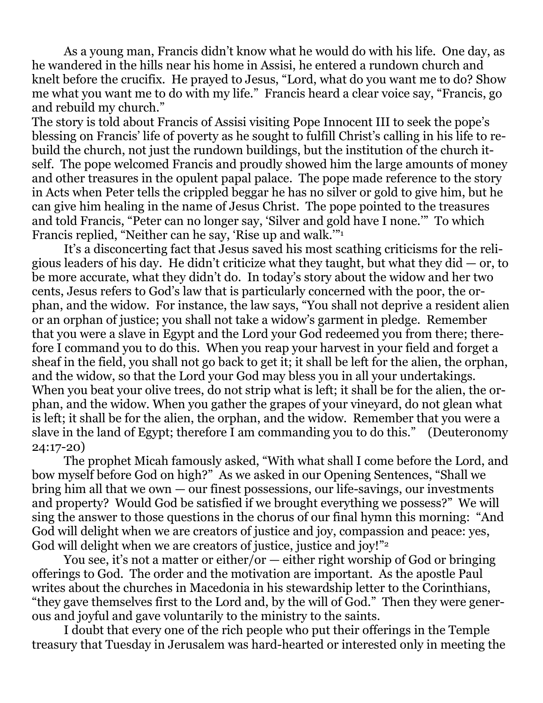As a young man, Francis didn't know what he would do with his life. One day, as he wandered in the hills near his home in Assisi, he entered a rundown church and knelt before the crucifix. He prayed to Jesus, "Lord, what do you want me to do? Show me what you want me to do with my life." Francis heard a clear voice say, "Francis, go and rebuild my church."

The story is told about Francis of Assisi visiting Pope Innocent III to seek the pope's blessing on Francis' life of poverty as he sought to fulfill Christ's calling in his life to rebuild the church, not just the rundown buildings, but the institution of the church itself. The pope welcomed Francis and proudly showed him the large amounts of money and other treasures in the opulent papal palace. The pope made reference to the story in Acts when Peter tells the crippled beggar he has no silver or gold to give him, but he can give him healing in the name of Jesus Christ. The pope pointed to the treasures and told Francis, "Peter can no longer say, 'Silver and gold have I none.'" To which Francis replied, "Neither can he say, 'Rise up and walk.'"<sup>1</sup>

It's a disconcerting fact that Jesus saved his most scathing criticisms for the religious leaders of his day. He didn't criticize what they taught, but what they did  $-$  or, to be more accurate, what they didn't do. In today's story about the widow and her two cents, Jesus refers to God's law that is particularly concerned with the poor, the orphan, and the widow. For instance, the law says, "You shall not deprive a resident alien or an orphan of justice; you shall not take a widow's garment in pledge. Remember that you were a slave in Egypt and the Lord your God redeemed you from there; therefore I command you to do this. When you reap your harvest in your field and forget a sheaf in the field, you shall not go back to get it; it shall be left for the alien, the orphan, and the widow, so that the Lord your God may bless you in all your undertakings. When you beat your olive trees, do not strip what is left; it shall be for the alien, the orphan, and the widow. When you gather the grapes of your vineyard, do not glean what is left; it shall be for the alien, the orphan, and the widow. Remember that you were a slave in the land of Egypt; therefore I am commanding you to do this." (Deuteronomy 24:17-20)

The prophet Micah famously asked, "With what shall I come before the Lord, and bow myself before God on high?" As we asked in our Opening Sentences, "Shall we bring him all that we own — our finest possessions, our life-savings, our investments and property? Would God be satisfied if we brought everything we possess?" We will sing the answer to those questions in the chorus of our final hymn this morning: "And God will delight when we are creators of justice and joy, compassion and peace: yes, God will delight when we are creators of justice, justice and joy!"<sup>2</sup>

You see, it's not a matter or either/or — either right worship of God or bringing offerings to God. The order and the motivation are important. As the apostle Paul writes about the churches in Macedonia in his stewardship letter to the Corinthians, "they gave themselves first to the Lord and, by the will of God." Then they were generous and joyful and gave voluntarily to the ministry to the saints.

I doubt that every one of the rich people who put their offerings in the Temple treasury that Tuesday in Jerusalem was hard-hearted or interested only in meeting the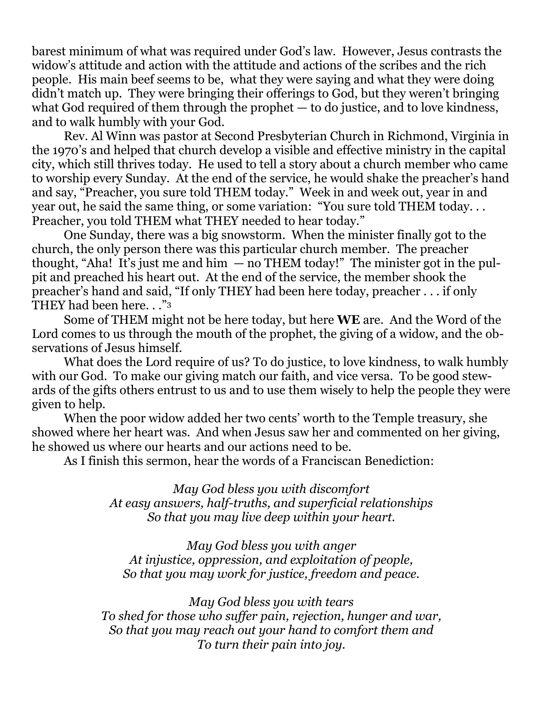barest minimum of what was required under God's law. However, Jesus contrasts the widow's attitude and action with the attitude and actions of the scribes and the rich people. His main beef seems to be, what they were saying and what they were doing didn't match up. They were bringing their offerings to God, but they weren't bringing what God required of them through the prophet — to do justice, and to love kindness, and to walk humbly with your God.

Rev. Al Winn was pastor at Second Presbyterian Church in Richmond, Virginia in the 1970's and helped that church develop a visible and effective ministry in the capital city, which still thrives today. He used to tell a story about a church member who came to worship every Sunday. At the end of the service, he would shake the preacher's hand and say, "Preacher, you sure told THEM today." Week in and week out, year in and year out, he said the same thing, or some variation: "You sure told THEM today. . . Preacher, you told THEM what THEY needed to hear today."

One Sunday, there was a big snowstorm. When the minister finally got to the church, the only person there was this particular church member. The preacher thought, "Aha! It's just me and him  $-$  no THEM today!" The minister got in the pulpit and preached his heart out. At the end of the service, the member shook the preacher's hand and said, "If only THEY had been here today, preacher . . . if only THEY had been here. . ."<sup>3</sup>

Some of THEM might not be here today, but here **WE** are. And the Word of the Lord comes to us through the mouth of the prophet, the giving of a widow, and the observations of Jesus himself.

What does the Lord require of us? To do justice, to love kindness, to walk humbly with our God. To make our giving match our faith, and vice versa. To be good stewards of the gifts others entrust to us and to use them wisely to help the people they were given to help.

When the poor widow added her two cents' worth to the Temple treasury, she showed where her heart was. And when Jesus saw her and commented on her giving, he showed us where our hearts and our actions need to be.

As I finish this sermon, hear the words of a Franciscan Benediction:

*May God bless you with discomfort At easy answers, half-truths, and superficial relationships So that you may live deep within your heart.*

*May God bless you with anger At injustice, oppression, and exploitation of people, So that you may work for justice, freedom and peace.*

*May God bless you with tears To shed for those who suffer pain, rejection, hunger and war, So that you may reach out your hand to comfort them and To turn their pain into joy.*